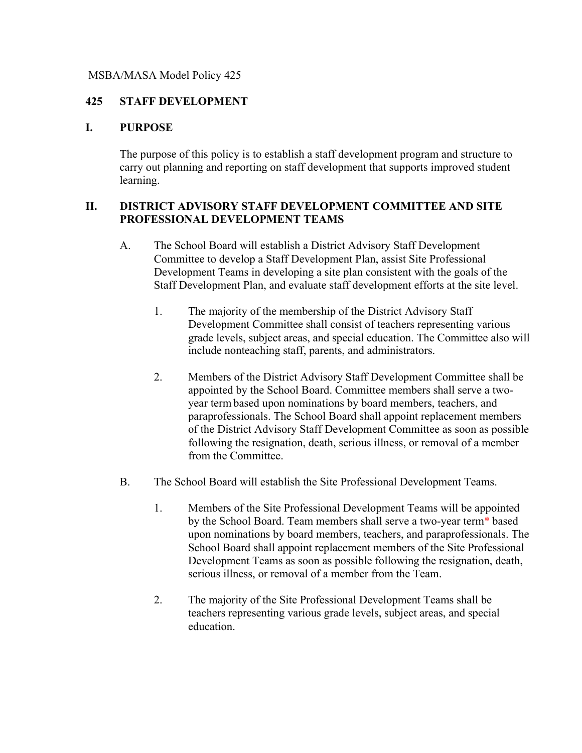#### MSBA/MASA Model Policy 425

#### **425 STAFF DEVELOPMENT**

#### **I. PURPOSE**

The purpose of this policy is to establish a staff development program and structure to carry out planning and reporting on staff development that supports improved student learning.

#### **II. DISTRICT ADVISORY STAFF DEVELOPMENT COMMITTEE AND SITE PROFESSIONAL DEVELOPMENT TEAMS**

- A. The School Board will establish a District Advisory Staff Development Committee to develop a Staff Development Plan, assist Site Professional Development Teams in developing a site plan consistent with the goals of the Staff Development Plan, and evaluate staff development efforts at the site level.
	- 1. The majority of the membership of the District Advisory Staff Development Committee shall consist of teachers representing various grade levels, subject areas, and special education. The Committee also will include nonteaching staff, parents, and administrators.
	- 2. Members of the District Advisory Staff Development Committee shall be appointed by the School Board. Committee members shall serve a twoyear term based upon nominations by board members, teachers, and paraprofessionals. The School Board shall appoint replacement members of the District Advisory Staff Development Committee as soon as possible following the resignation, death, serious illness, or removal of a member from the Committee.
- B. The School Board will establish the Site Professional Development Teams.
	- 1. Members of the Site Professional Development Teams will be appointed by the School Board. Team members shall serve a two-year term\* based upon nominations by board members, teachers, and paraprofessionals. The School Board shall appoint replacement members of the Site Professional Development Teams as soon as possible following the resignation, death, serious illness, or removal of a member from the Team.
	- 2. The majority of the Site Professional Development Teams shall be teachers representing various grade levels, subject areas, and special education.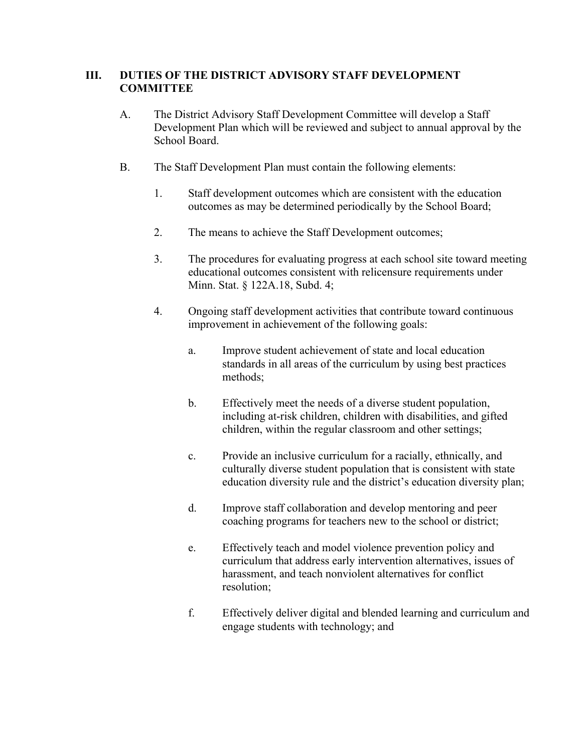## **III. DUTIES OF THE DISTRICT ADVISORY STAFF DEVELOPMENT COMMITTEE**

- A. The District Advisory Staff Development Committee will develop a Staff Development Plan which will be reviewed and subject to annual approval by the School Board.
- B. The Staff Development Plan must contain the following elements:
	- 1. Staff development outcomes which are consistent with the education outcomes as may be determined periodically by the School Board;
	- 2. The means to achieve the Staff Development outcomes;
	- 3. The procedures for evaluating progress at each school site toward meeting educational outcomes consistent with relicensure requirements under Minn. Stat. § 122A.18, Subd. 4;
	- 4. Ongoing staff development activities that contribute toward continuous improvement in achievement of the following goals:
		- a. Improve student achievement of state and local education standards in all areas of the curriculum by using best practices methods;
		- b. Effectively meet the needs of a diverse student population, including at-risk children, children with disabilities, and gifted children, within the regular classroom and other settings;
		- c. Provide an inclusive curriculum for a racially, ethnically, and culturally diverse student population that is consistent with state education diversity rule and the district's education diversity plan;
		- d. Improve staff collaboration and develop mentoring and peer coaching programs for teachers new to the school or district;
		- e. Effectively teach and model violence prevention policy and curriculum that address early intervention alternatives, issues of harassment, and teach nonviolent alternatives for conflict resolution;
		- f. Effectively deliver digital and blended learning and curriculum and engage students with technology; and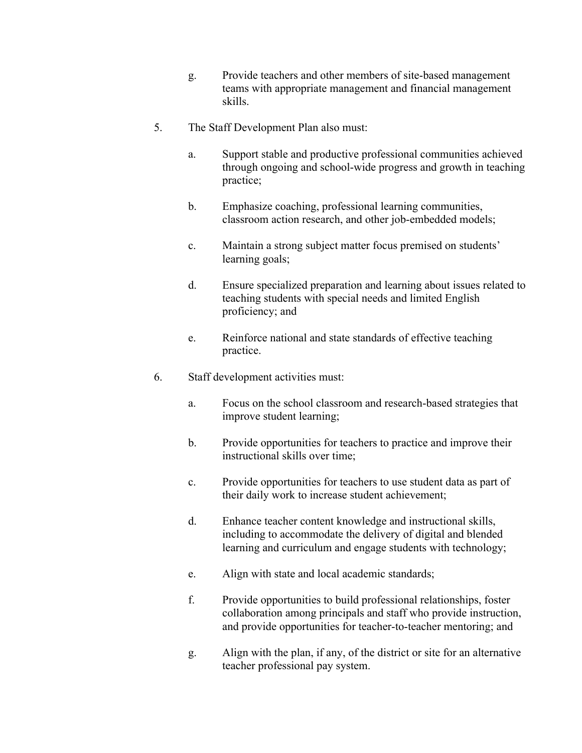- g. Provide teachers and other members of site-based management teams with appropriate management and financial management skills.
- 5. The Staff Development Plan also must:
	- a. Support stable and productive professional communities achieved through ongoing and school-wide progress and growth in teaching practice;
	- b. Emphasize coaching, professional learning communities, classroom action research, and other job-embedded models;
	- c. Maintain a strong subject matter focus premised on students' learning goals;
	- d. Ensure specialized preparation and learning about issues related to teaching students with special needs and limited English proficiency; and
	- e. Reinforce national and state standards of effective teaching practice.
- 6. Staff development activities must:
	- a. Focus on the school classroom and research-based strategies that improve student learning;
	- b. Provide opportunities for teachers to practice and improve their instructional skills over time;
	- c. Provide opportunities for teachers to use student data as part of their daily work to increase student achievement;
	- d. Enhance teacher content knowledge and instructional skills, including to accommodate the delivery of digital and blended learning and curriculum and engage students with technology;
	- e. Align with state and local academic standards;
	- f. Provide opportunities to build professional relationships, foster collaboration among principals and staff who provide instruction, and provide opportunities for teacher-to-teacher mentoring; and
	- g. Align with the plan, if any, of the district or site for an alternative teacher professional pay system.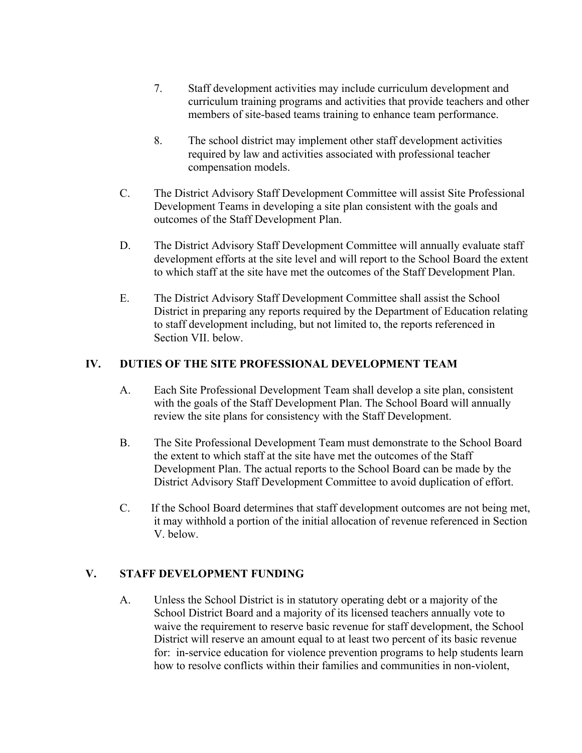- 7. Staff development activities may include curriculum development and curriculum training programs and activities that provide teachers and other members of site-based teams training to enhance team performance.
- 8. The school district may implement other staff development activities required by law and activities associated with professional teacher compensation models.
- C. The District Advisory Staff Development Committee will assist Site Professional Development Teams in developing a site plan consistent with the goals and outcomes of the Staff Development Plan.
- D. The District Advisory Staff Development Committee will annually evaluate staff development efforts at the site level and will report to the School Board the extent to which staff at the site have met the outcomes of the Staff Development Plan.
- E. The District Advisory Staff Development Committee shall assist the School District in preparing any reports required by the Department of Education relating to staff development including, but not limited to, the reports referenced in Section VII. below.

## **IV. DUTIES OF THE SITE PROFESSIONAL DEVELOPMENT TEAM**

- A. Each Site Professional Development Team shall develop a site plan, consistent with the goals of the Staff Development Plan. The School Board will annually review the site plans for consistency with the Staff Development.
- B. The Site Professional Development Team must demonstrate to the School Board the extent to which staff at the site have met the outcomes of the Staff Development Plan. The actual reports to the School Board can be made by the District Advisory Staff Development Committee to avoid duplication of effort.
- C. If the School Board determines that staff development outcomes are not being met, it may withhold a portion of the initial allocation of revenue referenced in Section V. below.

## **V. STAFF DEVELOPMENT FUNDING**

A. Unless the School District is in statutory operating debt or a majority of the School District Board and a majority of its licensed teachers annually vote to waive the requirement to reserve basic revenue for staff development, the School District will reserve an amount equal to at least two percent of its basic revenue for: in-service education for violence prevention programs to help students learn how to resolve conflicts within their families and communities in non-violent,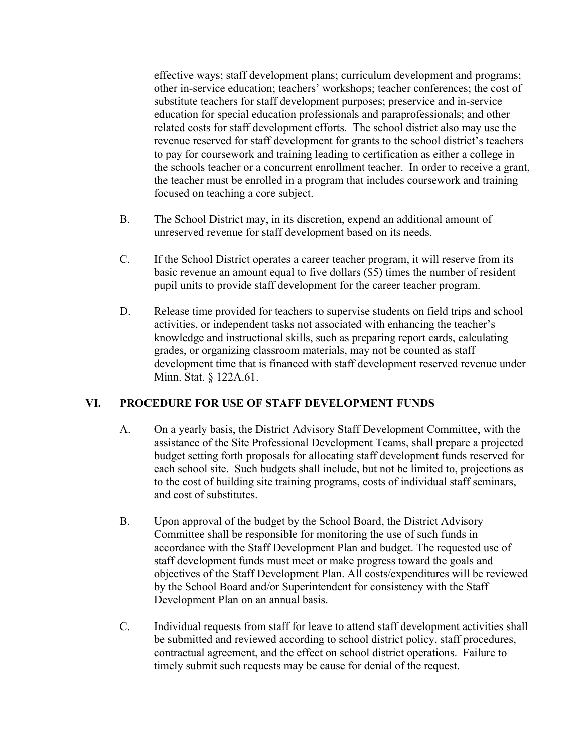effective ways; staff development plans; curriculum development and programs; other in-service education; teachers' workshops; teacher conferences; the cost of substitute teachers for staff development purposes; preservice and in-service education for special education professionals and paraprofessionals; and other related costs for staff development efforts. The school district also may use the revenue reserved for staff development for grants to the school district's teachers to pay for coursework and training leading to certification as either a college in the schools teacher or a concurrent enrollment teacher. In order to receive a grant, the teacher must be enrolled in a program that includes coursework and training focused on teaching a core subject.

- B. The School District may, in its discretion, expend an additional amount of unreserved revenue for staff development based on its needs.
- C. If the School District operates a career teacher program, it will reserve from its basic revenue an amount equal to five dollars (\$5) times the number of resident pupil units to provide staff development for the career teacher program.
- D. Release time provided for teachers to supervise students on field trips and school activities, or independent tasks not associated with enhancing the teacher's knowledge and instructional skills, such as preparing report cards, calculating grades, or organizing classroom materials, may not be counted as staff development time that is financed with staff development reserved revenue under Minn. Stat. § 122A.61.

## **VI. PROCEDURE FOR USE OF STAFF DEVELOPMENT FUNDS**

- A. On a yearly basis, the District Advisory Staff Development Committee, with the assistance of the Site Professional Development Teams, shall prepare a projected budget setting forth proposals for allocating staff development funds reserved for each school site. Such budgets shall include, but not be limited to, projections as to the cost of building site training programs, costs of individual staff seminars, and cost of substitutes.
- B. Upon approval of the budget by the School Board, the District Advisory Committee shall be responsible for monitoring the use of such funds in accordance with the Staff Development Plan and budget. The requested use of staff development funds must meet or make progress toward the goals and objectives of the Staff Development Plan. All costs/expenditures will be reviewed by the School Board and/or Superintendent for consistency with the Staff Development Plan on an annual basis.
- C. Individual requests from staff for leave to attend staff development activities shall be submitted and reviewed according to school district policy, staff procedures, contractual agreement, and the effect on school district operations. Failure to timely submit such requests may be cause for denial of the request.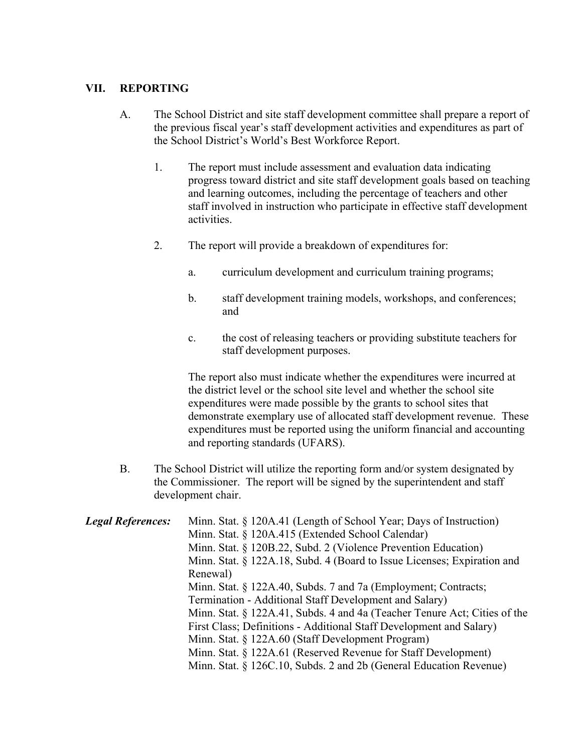# **VII. REPORTING**

- A. The School District and site staff development committee shall prepare a report of the previous fiscal year's staff development activities and expenditures as part of the School District's World's Best Workforce Report.
	- 1. The report must include assessment and evaluation data indicating progress toward district and site staff development goals based on teaching and learning outcomes, including the percentage of teachers and other staff involved in instruction who participate in effective staff development activities.
	- 2. The report will provide a breakdown of expenditures for:
		- a. curriculum development and curriculum training programs;
		- b. staff development training models, workshops, and conferences; and
		- c. the cost of releasing teachers or providing substitute teachers for staff development purposes.

The report also must indicate whether the expenditures were incurred at the district level or the school site level and whether the school site expenditures were made possible by the grants to school sites that demonstrate exemplary use of allocated staff development revenue. These expenditures must be reported using the uniform financial and accounting and reporting standards (UFARS).

B. The School District will utilize the reporting form and/or system designated by the Commissioner. The report will be signed by the superintendent and staff development chair.

| <b>Legal References:</b> | Minn. Stat. § 120A.41 (Length of School Year; Days of Instruction)        |
|--------------------------|---------------------------------------------------------------------------|
|                          | Minn. Stat. § 120A.415 (Extended School Calendar)                         |
|                          | Minn. Stat. § 120B.22, Subd. 2 (Violence Prevention Education)            |
|                          | Minn. Stat. § 122A.18, Subd. 4 (Board to Issue Licenses; Expiration and   |
|                          | Renewal)                                                                  |
|                          | Minn. Stat. § 122A.40, Subds. 7 and 7a (Employment; Contracts;            |
|                          | Termination - Additional Staff Development and Salary)                    |
|                          | Minn. Stat. § 122A.41, Subds. 4 and 4a (Teacher Tenure Act; Cities of the |
|                          | First Class; Definitions - Additional Staff Development and Salary)       |
|                          | Minn. Stat. § 122A.60 (Staff Development Program)                         |
|                          | Minn. Stat. § 122A.61 (Reserved Revenue for Staff Development)            |
|                          | Minn. Stat. § 126C.10, Subds. 2 and 2b (General Education Revenue)        |